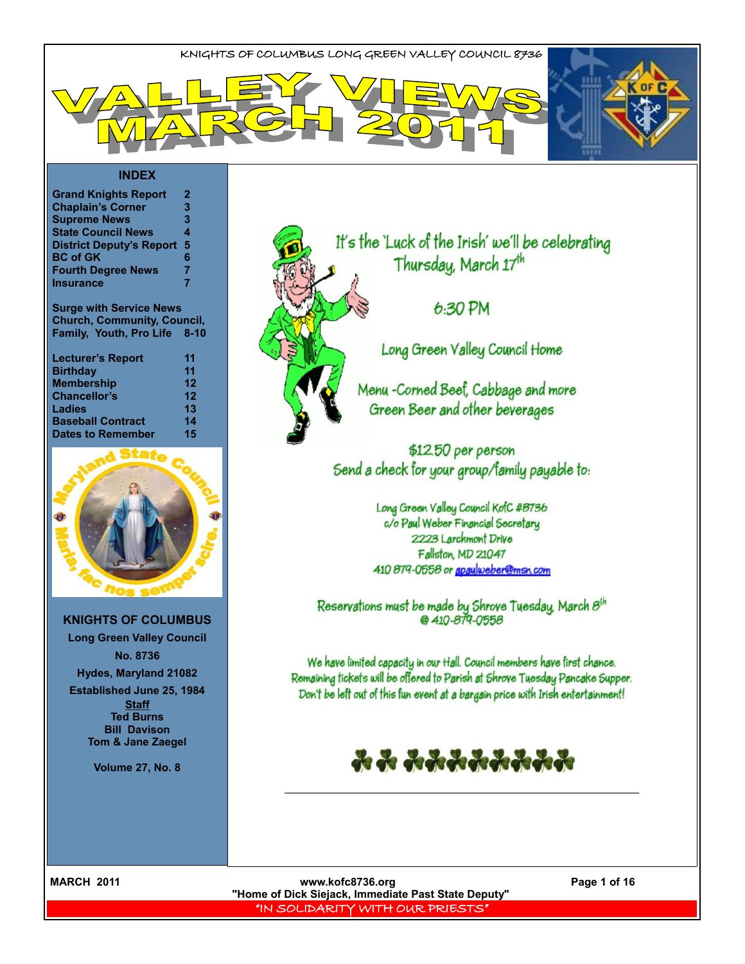

| <b>Grand Knights Report</b>     | 2 |
|---------------------------------|---|
| <b>Chaplain's Corner</b>        | 3 |
| <b>Supreme News</b>             | 3 |
| <b>State Council News</b>       | 4 |
| <b>District Deputy's Report</b> | 5 |
| <b>BC of GK</b>                 | 6 |
| <b>Fourth Degree News</b>       | 7 |
| <b>Insurance</b>                | 7 |
|                                 |   |

**Surge with Service News Church, Community, Council, Family, Youth, Pro Life 8-10**

| <b>Lecturer's Report</b> | 11 |
|--------------------------|----|
| <b>Birthday</b>          | 11 |
| <b>Membership</b>        | 12 |
| <b>Chancellor's</b>      | 12 |
| <b>Ladies</b>            | 13 |
| <b>Baseball Contract</b> | 14 |
| <b>Dates to Remember</b> | 15 |



**KNIGHTS OF COLUMBUS Long Green Valley Council No. 8736 Hydes, Maryland 21082**

**Established June 25, 1984 Staff Ted Burns Bill Davison Tom & Jane Zaegel**

**Volume 27, No. 8**



It's the 'Luck of the Irish' we'll be celebrating Thursday, March 17th

 $6:30$  PM

Long Green Valley Council Home

Menu -Corned Beef, Cabbage and more Green Beer and other beverages

\$12.50 per person Send a check for your group/family payable to:

> Long Green Valley Council KofC #8736 c/o Paul Weber Financial Secretary 2223 Larchmont Drive Fallston, MD 21047 410 879-0558 or apaylweber@msn.com

Reservations must be made by Shrove Tuesday, March  $8^{th}$ <br>@ 410-879-0558

We have limited capacity in our Hall. Council members have first chance. Remaining tickets will be offered to Parish at Shrove Tuesday Pancake Supper. Don't be left out of this fun event at a bargain price with Irish entertainment!



MARCH 2011 **MARCH 2011 www.kofc8736.org Page 1 of 16 "Home of Dick Siejack, Immediate Past State Deputy"**  "IN SOLIDARITY WITH OUR PRIESTS"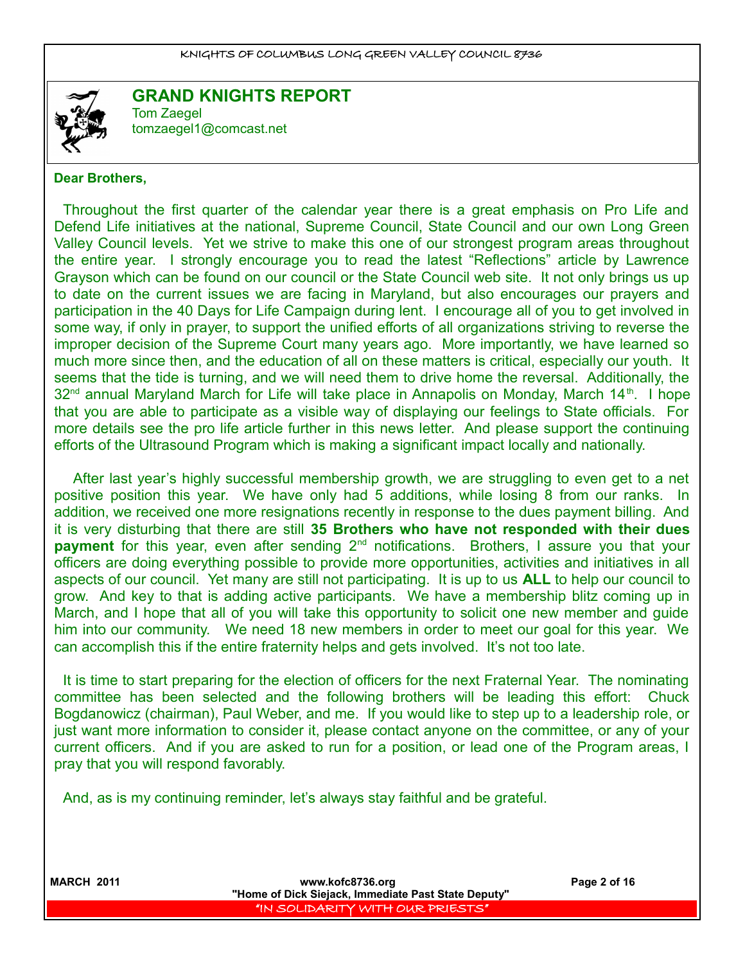

#### **GRAND KNIGHTS REPORT** Tom Zaegel [tomzaegel1@comcast.net](mailto:tomzaegel1@comcast.net)

#### **Dear Brothers,**

Throughout the first quarter of the calendar year there is a great emphasis on Pro Life and Defend Life initiatives at the national, Supreme Council, State Council and our own Long Green Valley Council levels. Yet we strive to make this one of our strongest program areas throughout the entire year. I strongly encourage you to read the latest "Reflections" article by Lawrence Grayson which can be found on our council or the State Council web site. It not only brings us up to date on the current issues we are facing in Maryland, but also encourages our prayers and participation in the 40 Days for Life Campaign during lent. I encourage all of you to get involved in some way, if only in prayer, to support the unified efforts of all organizations striving to reverse the improper decision of the Supreme Court many years ago. More importantly, we have learned so much more since then, and the education of all on these matters is critical, especially our youth. It seems that the tide is turning, and we will need them to drive home the reversal. Additionally, the  $32<sup>nd</sup>$  annual Maryland March for Life will take place in Annapolis on Monday, March 14<sup>th</sup>. I hope that you are able to participate as a visible way of displaying our feelings to State officials. For more details see the pro life article further in this news letter. And please support the continuing efforts of the Ultrasound Program which is making a significant impact locally and nationally.

 After last year's highly successful membership growth, we are struggling to even get to a net positive position this year. We have only had 5 additions, while losing 8 from our ranks. In addition, we received one more resignations recently in response to the dues payment billing. And it is very disturbing that there are still **35 Brothers who have not responded with their dues payment** for this year, even after sending 2<sup>nd</sup> notifications. Brothers, I assure you that your officers are doing everything possible to provide more opportunities, activities and initiatives in all aspects of our council. Yet many are still not participating. It is up to us **ALL** to help our council to grow. And key to that is adding active participants. We have a membership blitz coming up in March, and I hope that all of you will take this opportunity to solicit one new member and guide him into our community. We need 18 new members in order to meet our goal for this year. We can accomplish this if the entire fraternity helps and gets involved. It's not too late.

It is time to start preparing for the election of officers for the next Fraternal Year. The nominating committee has been selected and the following brothers will be leading this effort: Chuck Bogdanowicz (chairman), Paul Weber, and me. If you would like to step up to a leadership role, or just want more information to consider it, please contact anyone on the committee, or any of your current officers. And if you are asked to run for a position, or lead one of the Program areas, I pray that you will respond favorably.

And, as is my continuing reminder, let's always stay faithful and be grateful.

|  | <b>MARCH 2011</b> |
|--|-------------------|
|  |                   |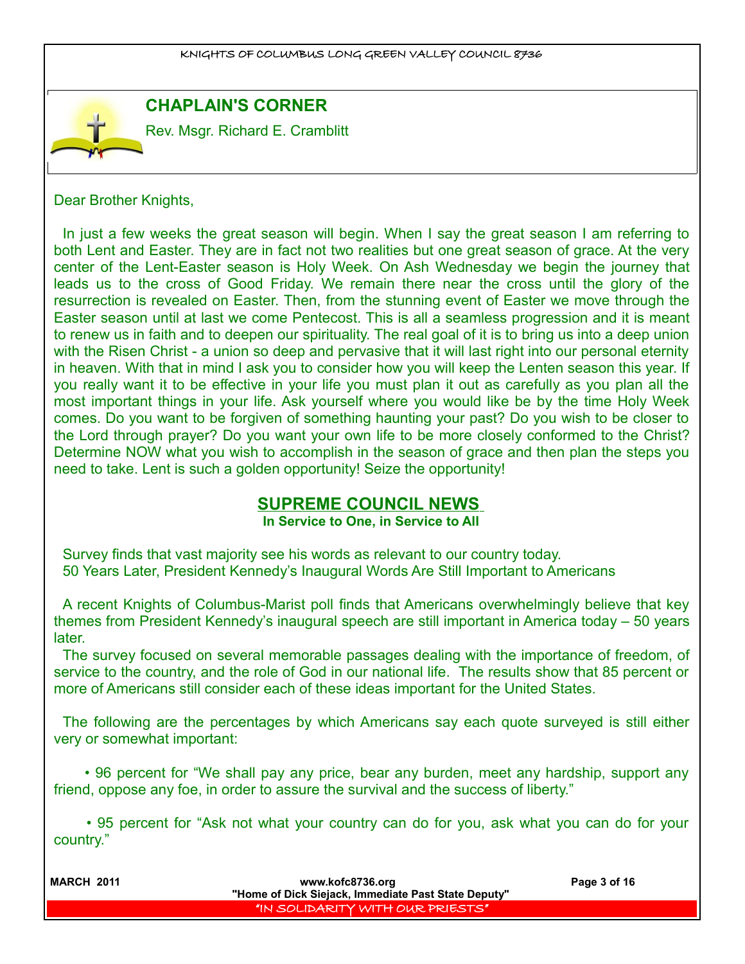## **CHAPLAIN'S CORNER**

Rev. Msgr. Richard E. Cramblitt

Dear Brother Knights,

In just a few weeks the great season will begin. When I say the great season I am referring to both Lent and Easter. They are in fact not two realities but one great season of grace. At the very center of the Lent-Easter season is Holy Week. On Ash Wednesday we begin the journey that leads us to the cross of Good Friday. We remain there near the cross until the glory of the resurrection is revealed on Easter. Then, from the stunning event of Easter we move through the Easter season until at last we come Pentecost. This is all a seamless progression and it is meant to renew us in faith and to deepen our spirituality. The real goal of it is to bring us into a deep union with the Risen Christ - a union so deep and pervasive that it will last right into our personal eternity in heaven. With that in mind I ask you to consider how you will keep the Lenten season this year. If you really want it to be effective in your life you must plan it out as carefully as you plan all the most important things in your life. Ask yourself where you would like be by the time Holy Week comes. Do you want to be forgiven of something haunting your past? Do you wish to be closer to the Lord through prayer? Do you want your own life to be more closely conformed to the Christ? Determine NOW what you wish to accomplish in the season of grace and then plan the steps you need to take. Lent is such a golden opportunity! Seize the opportunity!

## **SUPREME COUNCIL NEWS**

#### **In Service to One, in Service to All**

Survey finds that vast majority see his words as relevant to our country today. 50 Years Later, President Kennedy's Inaugural Words Are Still Important to Americans

A recent Knights of Columbus-Marist poll finds that Americans overwhelmingly believe that key themes from President Kennedy's inaugural speech are still important in America today – 50 years later.

The survey focused on several memorable passages dealing with the importance of freedom, of service to the country, and the role of God in our national life. The results show that 85 percent or more of Americans still consider each of these ideas important for the United States.

The following are the percentages by which Americans say each quote surveyed is still either very or somewhat important:

 • 96 percent for "We shall pay any price, bear any burden, meet any hardship, support any friend, oppose any foe, in order to assure the survival and the success of liberty."

 • 95 percent for "Ask not what your country can do for you, ask what you can do for your country."

| <b>MARCH 2011</b> | www.kofc8736.org<br>"Home of Dick Siejack, Immediate Past State Deputy" | Page 3 of 16 |
|-------------------|-------------------------------------------------------------------------|--------------|
|                   | I "IN SOLIDARITY WITH OUR PRIESTS" I                                    |              |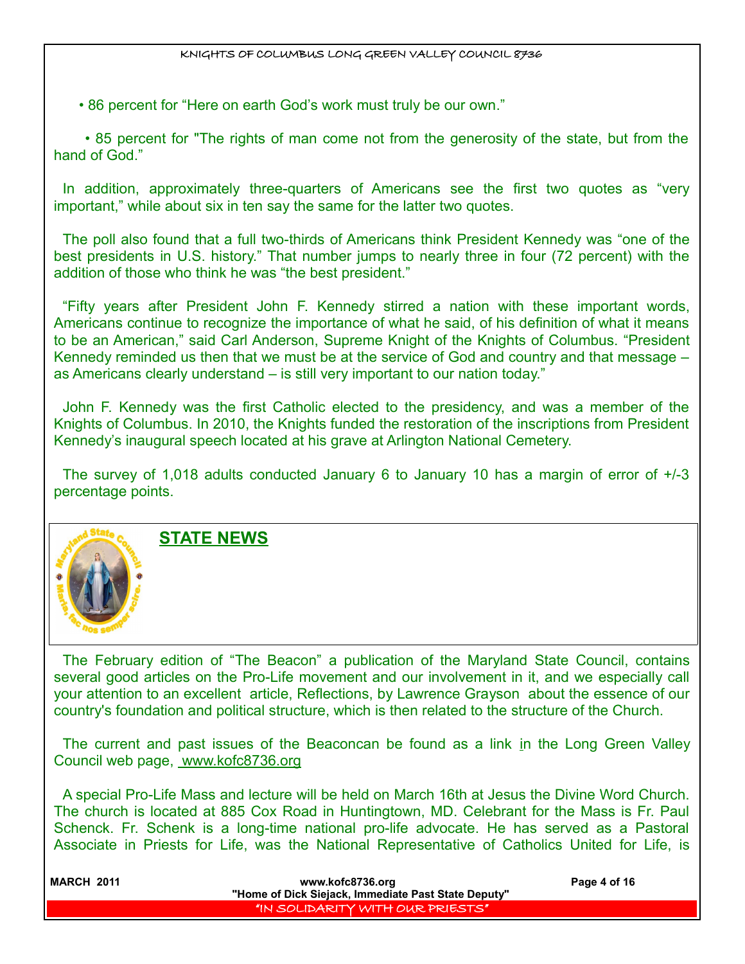• 86 percent for "Here on earth God's work must truly be our own."

 • 85 percent for "The rights of man come not from the generosity of the state, but from the hand of God."

In addition, approximately three-quarters of Americans see the first two quotes as "very important," while about six in ten say the same for the latter two quotes.

The poll also found that a full two-thirds of Americans think President Kennedy was "one of the best presidents in U.S. history." That number jumps to nearly three in four (72 percent) with the addition of those who think he was "the best president."

"Fifty years after President John F. Kennedy stirred a nation with these important words, Americans continue to recognize the importance of what he said, of his definition of what it means to be an American," said Carl Anderson, Supreme Knight of the Knights of Columbus. "President Kennedy reminded us then that we must be at the service of God and country and that message – as Americans clearly understand – is still very important to our nation today."

John F. Kennedy was the first Catholic elected to the presidency, and was a member of the Knights of Columbus. In 2010, the Knights funded the restoration of the inscriptions from President Kennedy's inaugural speech located at his grave at Arlington National Cemetery.

The survey of 1,018 adults conducted January 6 to January 10 has a margin of error of +/-3 percentage points.



**STATE NEWS**

The February edition of "The Beacon" a publication of the Maryland State Council, contains several good articles on the Pro-Life movement and our involvement in it, and we especially call your attention to an excellent article, Reflections, by Lawrence Grayson about the essence of our country's foundation and political structure, which is then related to the structure of the Church.

The current and past issues of the Beaconcan be found as a link in the Long Green Valley Council web page, www.kofc8736.org

A special Pro-Life Mass and lecture will be held on March 16th at Jesus the Divine Word Church. The church is located at 885 Cox Road in Huntingtown, MD. Celebrant for the Mass is Fr. Paul Schenck. Fr. Schenk is a long-time national pro-life advocate. He has served as a Pastoral Associate in Priests for Life, was the National Representative of Catholics United for Life, is

| <b>MARCH 2011</b> | www.kofc8736.org<br>"Home of Dick Siejack, Immediate Past State Deputy" | Page 4 of 16 |
|-------------------|-------------------------------------------------------------------------|--------------|
|                   | I "IN SOLIDARITY WITH OUR PRIESTS" I                                    |              |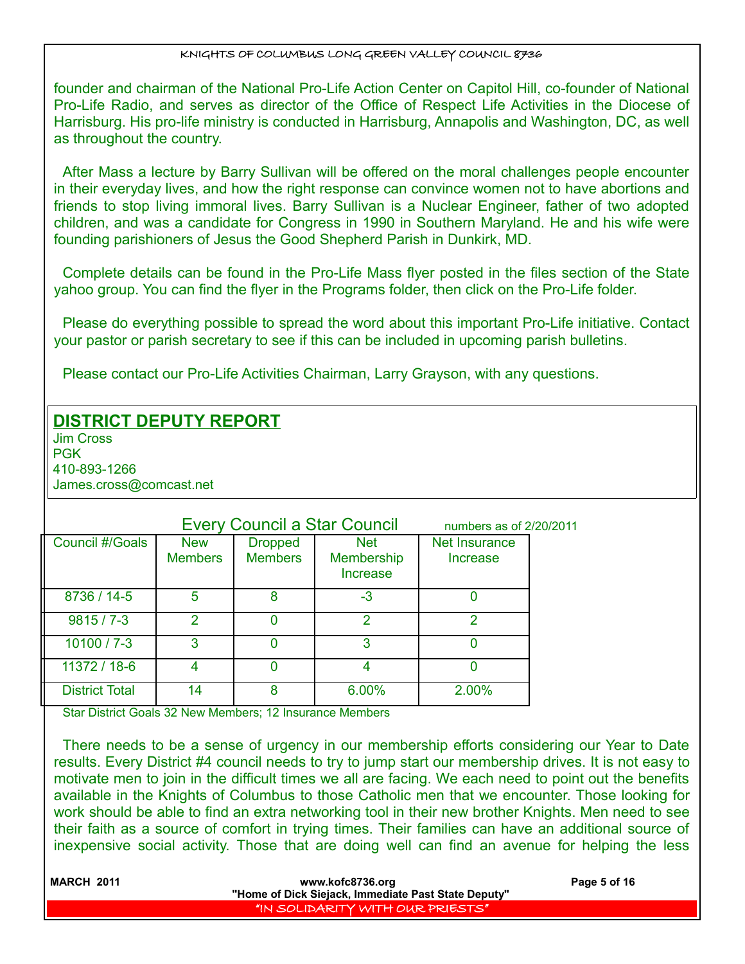founder and chairman of the National Pro-Life Action Center on Capitol Hill, co-founder of National Pro-Life Radio, and serves as director of the Office of Respect Life Activities in the Diocese of Harrisburg. His pro-life ministry is conducted in Harrisburg, Annapolis and Washington, DC, as well as throughout the country.

After Mass a lecture by Barry Sullivan will be offered on the moral challenges people encounter in their everyday lives, and how the right response can convince women not to have abortions and friends to stop living immoral lives. Barry Sullivan is a Nuclear Engineer, father of two adopted children, and was a candidate for Congress in 1990 in Southern Maryland. He and his wife were founding parishioners of Jesus the Good Shepherd Parish in Dunkirk, MD.

Complete details can be found in the Pro-Life Mass flyer posted in the files section of the State yahoo group. You can find the flyer in the Programs folder, then click on the Pro-Life folder.

Please do everything possible to spread the word about this important Pro-Life initiative. Contact your pastor or parish secretary to see if this can be included in upcoming parish bulletins.

Please contact our Pro-Life Activities Chairman, Larry Grayson, with any questions.

## **DISTRICT DEPUTY REPORT**

Jim Cross **PGK** 410-893-1266

James.cross@comcast.net

|                       |                              |                                  | <b>Every Council a Star Council</b>  | numbers as of 2/20/2011          |  |
|-----------------------|------------------------------|----------------------------------|--------------------------------------|----------------------------------|--|
| Council #/Goals       | <b>New</b><br><b>Members</b> | <b>Dropped</b><br><b>Members</b> | <b>Net</b><br>Membership<br>Increase | <b>Net Insurance</b><br>Increase |  |
| 8736 / 14-5           | 5                            | 8                                | -3                                   |                                  |  |
| $9815/7 - 3$          | າ                            |                                  | າ                                    | ◠                                |  |
| $10100 / 7 - 3$       | 3                            | 0                                | 3                                    |                                  |  |
| 11372 / 18-6          |                              |                                  |                                      |                                  |  |
| <b>District Total</b> | 14                           | 8                                | 6.00%                                | 2.00%                            |  |

Star District Goals 32 New Members; 12 Insurance Members

There needs to be a sense of urgency in our membership efforts considering our Year to Date results. Every District #4 council needs to try to jump start our membership drives. It is not easy to motivate men to join in the difficult times we all are facing. We each need to point out the benefits available in the Knights of Columbus to those Catholic men that we encounter. Those looking for work should be able to find an extra networking tool in their new brother Knights. Men need to see their faith as a source of comfort in trying times. Their families can have an additional source of inexpensive social activity. Those that are doing well can find an avenue for helping the less

| <b>MARCH 2011</b> | www.kofc8736.org                                    | Page 5 of 16 |
|-------------------|-----------------------------------------------------|--------------|
|                   | "Home of Dick Siejack, Immediate Past State Deputy" |              |
|                   | "IN SOLIDARITY WITH OUR PRIESTS"                    |              |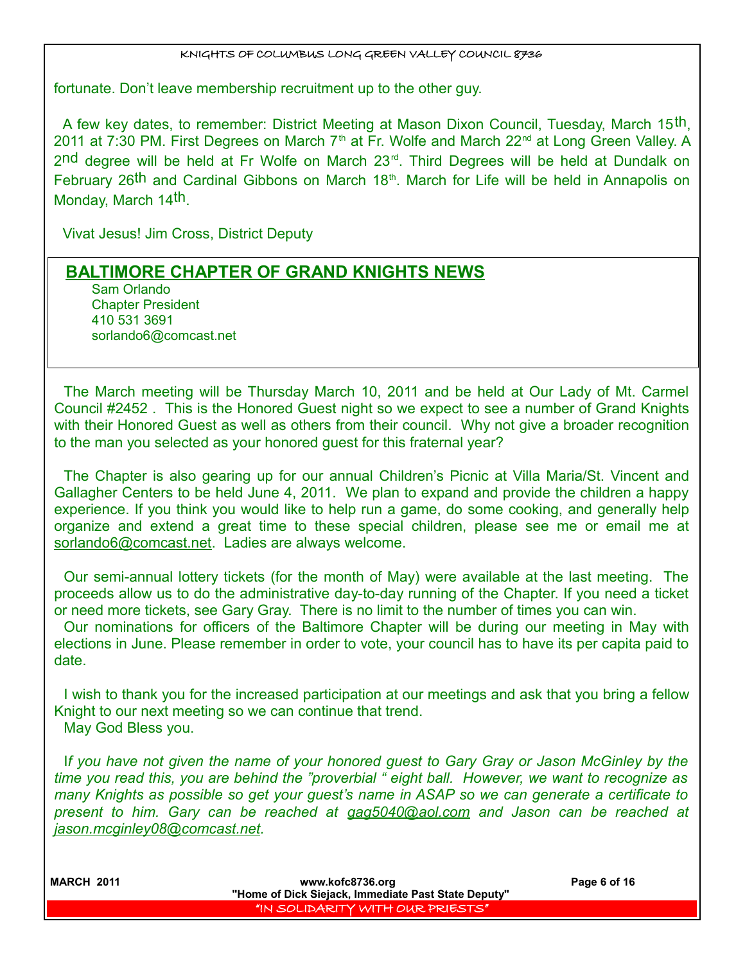fortunate. Don't leave membership recruitment up to the other guy.

A few key dates, to remember: District Meeting at Mason Dixon Council, Tuesday, March 15th, 2011 at 7:30 PM. First Degrees on March  $7<sup>th</sup>$  at Fr. Wolfe and March 22<sup>nd</sup> at Long Green Valley. A 2nd degree will be held at Fr Wolfe on March 23rd. Third Degrees will be held at Dundalk on February 26<sup>th</sup> and Cardinal Gibbons on March 18<sup>th</sup>. March for Life will be held in Annapolis on Monday, March 14th.

Vivat Jesus! Jim Cross, District Deputy

## **BALTIMORE CHAPTER OF GRAND KNIGHTS NEWS**

Sam Orlando Chapter President 410 531 3691 sorlando6@comcast.net

The March meeting will be Thursday March 10, 2011 and be held at Our Lady of Mt. Carmel Council #2452 . This is the Honored Guest night so we expect to see a number of Grand Knights with their Honored Guest as well as others from their council. Why not give a broader recognition to the man you selected as your honored guest for this fraternal year?

The Chapter is also gearing up for our annual Children's Picnic at Villa Maria/St. Vincent and Gallagher Centers to be held June 4, 2011. We plan to expand and provide the children a happy experience. If you think you would like to help run a game, do some cooking, and generally help organize and extend a great time to these special children, please see me or email me at sorlando6@comcast.net. Ladies are always welcome.

Our semi-annual lottery tickets (for the month of May) were available at the last meeting. The proceeds allow us to do the administrative day-to-day running of the Chapter. If you need a ticket or need more tickets, see Gary Gray. There is no limit to the number of times you can win.

Our nominations for officers of the Baltimore Chapter will be during our meeting in May with elections in June. Please remember in order to vote, your council has to have its per capita paid to date.

I wish to thank you for the increased participation at our meetings and ask that you bring a fellow Knight to our next meeting so we can continue that trend. May God Bless you.

I*f you have not given the name of your honored guest to Gary Gray or Jason McGinley by the time you read this, you are behind the "proverbial " eight ball. However, we want to recognize as many Knights as possible so get your guest's name in ASAP so we can generate a certificate to present to him. Gary can be reached at gag5040@aol.com and Jason can be reached at jason.mcginley08@comcast.net.*

| <b>MARCH 2011</b> | www.kofc8736.org<br>"Home of Dick Siejack, Immediate Past State Deputy" | Page 6 of 16 |
|-------------------|-------------------------------------------------------------------------|--------------|
|                   | "IN SOLIDARITY WITH OUR PRIESTS"                                        |              |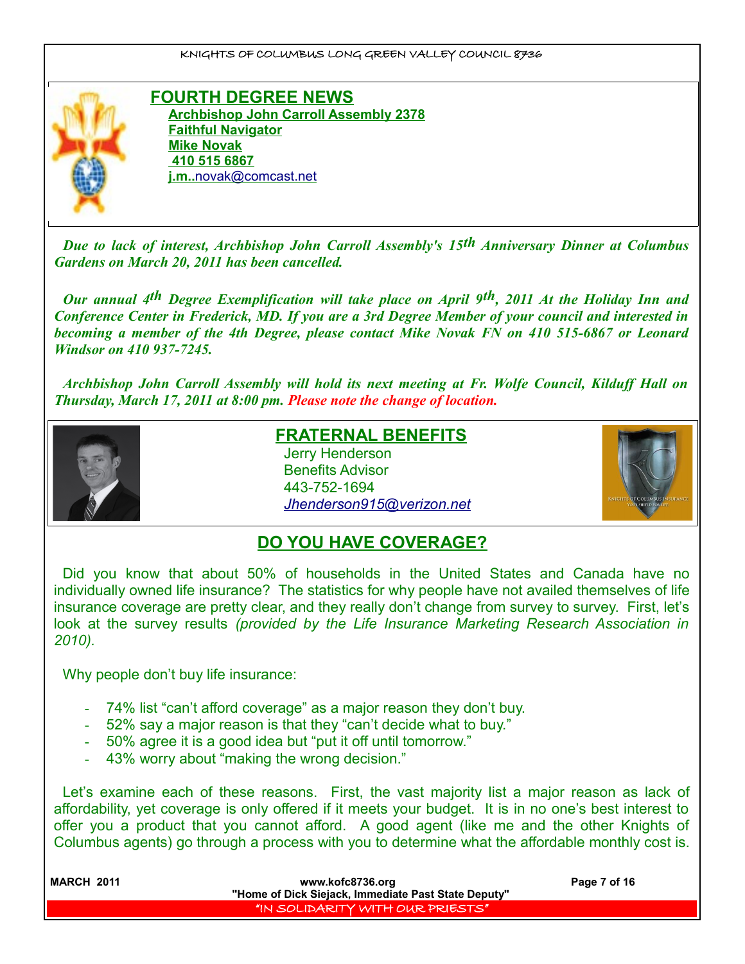

**FOURTH DEGREE NEWS Archbishop John Carroll Assembly 2378 Faithful Navigator Mike Novak 410 515 6867 j.m..** [novak@comcast.net](mailto:novak@comcast.net)

*Due to lack of interest, Archbishop John Carroll Assembly's 15th Anniversary Dinner at Columbus Gardens on March 20, 2011 has been cancelled.* 

*Our annual 4th Degree Exemplification will take place on April 9th, 2011 At the Holiday Inn and Conference Center in Frederick, MD. If you are a 3rd Degree Member of your council and interested in becoming a member of the 4th Degree, please contact Mike Novak FN on 410 515-6867 or Leonard Windsor on 410 937-7245.*

*Archbishop John Carroll Assembly will hold its next meeting at Fr. Wolfe Council, Kilduff Hall on Thursday, March 17, 2011 at 8:00 pm. Please note the change of location.*



## **FRATERNAL BENEFITS**

Jerry Henderson Benefits Advisor 443-752-1694 *[Jhenderson915@verizon.net](mailto:Jhenderson915@verizon.net)*



## **DO YOU HAVE COVERAGE?**

Did you know that about 50% of households in the United States and Canada have no individually owned life insurance? The statistics for why people have not availed themselves of life insurance coverage are pretty clear, and they really don't change from survey to survey. First, let's look at the survey results *(provided by the Life Insurance Marketing Research Association in 2010).*

Why people don't buy life insurance:

- 74% list "can't afford coverage" as a major reason they don't buy.
- 52% say a major reason is that they "can't decide what to buy."
- 50% agree it is a good idea but "put it off until tomorrow."
- 43% worry about "making the wrong decision."

Let's examine each of these reasons. First, the vast majority list a major reason as lack of affordability, yet coverage is only offered if it meets your budget. It is in no one's best interest to offer you a product that you cannot afford. A good agent (like me and the other Knights of Columbus agents) go through a process with you to determine what the affordable monthly cost is.

| <b>MARCH 2011</b> | www.kofc8736.org                                    | Page 7 of 16 |  |
|-------------------|-----------------------------------------------------|--------------|--|
|                   | "Home of Dick Siejack, Immediate Past State Deputy" |              |  |
|                   | "IN SOLIDARITY WITH OUR PRIESTS"                    |              |  |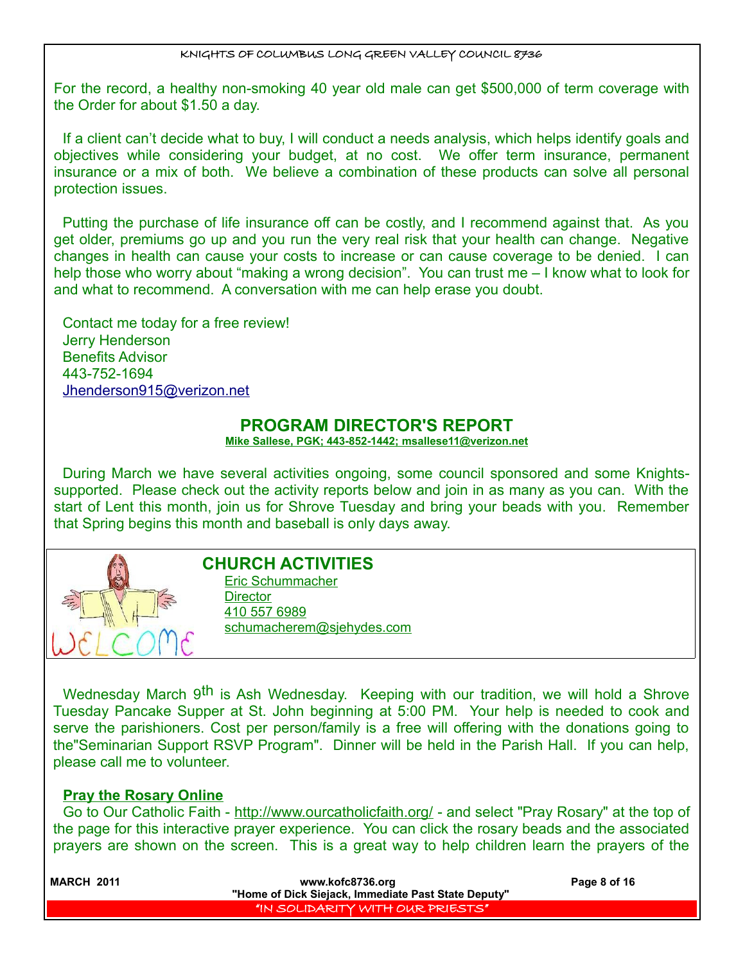For the record, a healthy non-smoking 40 year old male can get \$500,000 of term coverage with the Order for about \$1.50 a day.

If a client can't decide what to buy, I will conduct a needs analysis, which helps identify goals and objectives while considering your budget, at no cost. We offer term insurance, permanent insurance or a mix of both. We believe a combination of these products can solve all personal protection issues.

Putting the purchase of life insurance off can be costly, and I recommend against that. As you get older, premiums go up and you run the very real risk that your health can change. Negative changes in health can cause your costs to increase or can cause coverage to be denied. I can help those who worry about "making a wrong decision". You can trust me – I know what to look for and what to recommend. A conversation with me can help erase you doubt.

Contact me today for a free review! Jerry Henderson Benefits Advisor 443-752-1694 [Jhenderson915@verizon.net](mailto:Jhenderson915@verizon.net)

## **PROGRAM DIRECTOR'S REPORT**

 **Mike Sallese, PGK; 443-852-1442; msallese11@verizon.net**

During March we have several activities ongoing, some council sponsored and some Knightssupported. Please check out the activity reports below and join in as many as you can. With the start of Lent this month, join us for Shrove Tuesday and bring your beads with you. Remember that Spring begins this month and baseball is only days away.



## **CHURCH ACTIVITIES**

Eric Schummacher **Director** 410 557 6989 schumacherem@sjehydes.com

Wednesday March 9<sup>th</sup> is Ash Wednesday. Keeping with our tradition, we will hold a Shrove Tuesday Pancake Supper at St. John beginning at 5:00 PM. Your help is needed to cook and serve the parishioners. Cost per person/family is a free will offering with the donations going to the"Seminarian Support RSVP Program". Dinner will be held in the Parish Hall. If you can help, please call me to volunteer.

#### **Pray the Rosary Online**

Go to Our Catholic Faith - http://www.ourcatholicfaith.org/ - and select "Pray Rosary" at the top of the page for this interactive prayer experience. You can click the rosary beads and the associated prayers are shown on the screen. This is a great way to help children learn the prayers of the

| <b>MARCH 2011</b> | www.kofc8736.org                                    | Page 8 of 16 |
|-------------------|-----------------------------------------------------|--------------|
|                   | "Home of Dick Siejack, Immediate Past State Deputy" |              |
|                   | I'IN SOLIDARITY WITH OUR PRIESTS' I                 |              |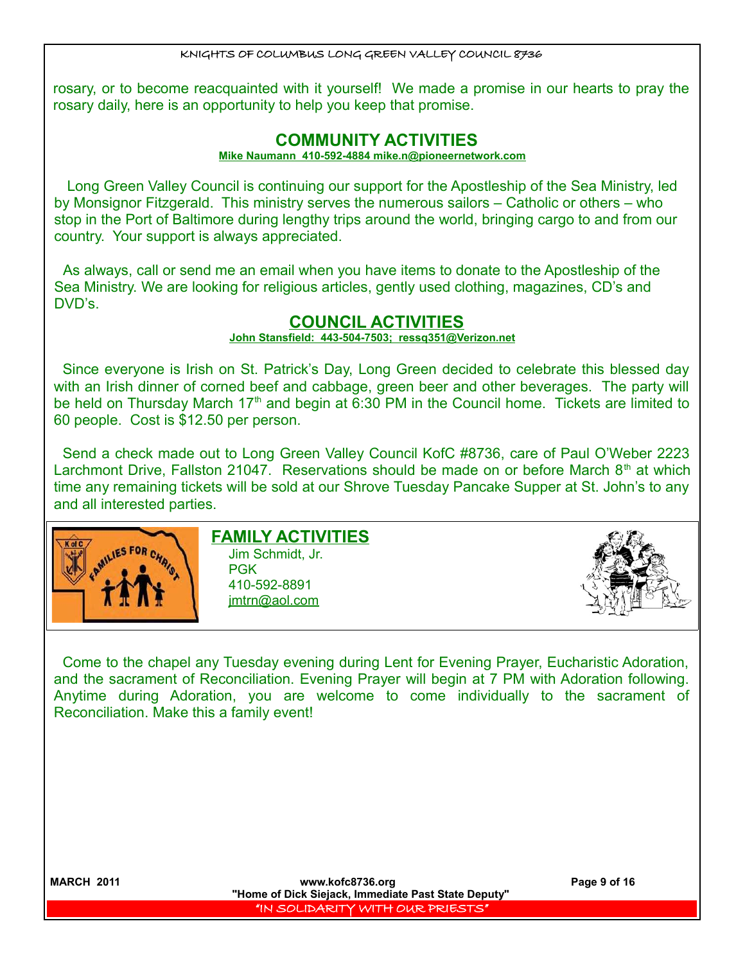rosary, or to become reacquainted with it yourself! We made a promise in our hearts to pray the rosary daily, here is an opportunity to help you keep that promise.

## **COMMUNITY ACTIVITIES**

#### **Mike Naumann 410-592-4884 mike.n@pioneernetwork.com**

Long Green Valley Council is continuing our support for the Apostleship of the Sea Ministry, led by Monsignor Fitzgerald. This ministry serves the numerous sailors – Catholic or others – who stop in the Port of Baltimore during lengthy trips around the world, bringing cargo to and from our country. Your support is always appreciated.

As always, call or send me an email when you have items to donate to the Apostleship of the Sea Ministry. We are looking for religious articles, gently used clothing, magazines, CD's and DVD's.

## **COUNCIL ACTIVITIES**

 **John Stansfield: 443-504-7503; ressq351@Verizon.net**

Since everyone is Irish on St. Patrick's Day, Long Green decided to celebrate this blessed day with an Irish dinner of corned beef and cabbage, green beer and other beverages. The party will be held on Thursday March 17<sup>th</sup> and begin at 6:30 PM in the Council home. Tickets are limited to 60 people. Cost is \$12.50 per person.

Send a check made out to Long Green Valley Council KofC #8736, care of Paul O'Weber 2223 Larchmont Drive, Fallston 21047. Reservations should be made on or before March  $8<sup>th</sup>$  at which time any remaining tickets will be sold at our Shrove Tuesday Pancake Supper at St. John's to any and all interested parties.



## **FAMILY ACTIVITIES**

Jim Schmidt, Jr. PGK 410-592-8891 jmtrn@aol.com



Come to the chapel any Tuesday evening during Lent for Evening Prayer, Eucharistic Adoration, and the sacrament of Reconciliation. Evening Prayer will begin at 7 PM with Adoration following. Anytime during Adoration, you are welcome to come individually to the sacrament of Reconciliation. Make this a family event!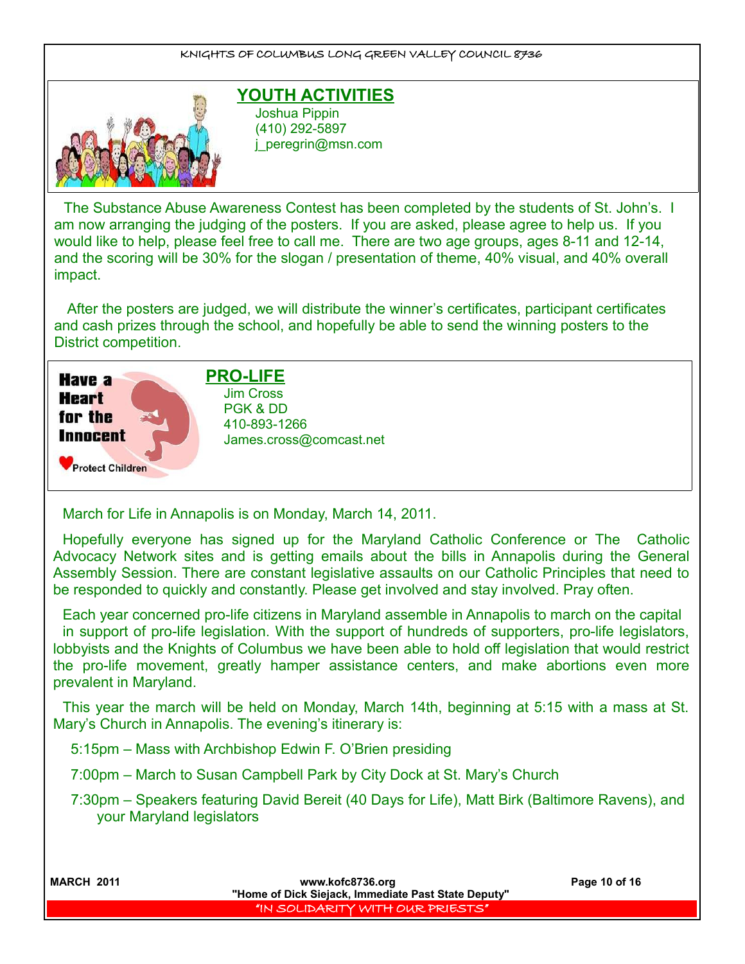

## **YOUTH ACTIVITIES**

Joshua Pippin (410) 292-5897 j\_peregrin@msn.com

The Substance Abuse Awareness Contest has been completed by the students of St. John's. I am now arranging the judging of the posters. If you are asked, please agree to help us. If you would like to help, please feel free to call me. There are two age groups, ages 8-11 and 12-14, and the scoring will be 30% for the slogan / presentation of theme, 40% visual, and 40% overall impact.

After the posters are judged, we will distribute the winner's certificates, participant certificates and cash prizes through the school, and hopefully be able to send the winning posters to the District competition.



## **PRO-LIFE**

Jim Cross PGK & DD 410-893-1266 [James.cross@comcast.net](mailto:James.cross@comcast.net)

March for Life in Annapolis is on Monday, March 14, 2011.

Hopefully everyone has signed up for the Maryland Catholic Conference or The Catholic Advocacy Network sites and is getting emails about the bills in Annapolis during the General Assembly Session. There are constant legislative assaults on our Catholic Principles that need to be responded to quickly and constantly. Please get involved and stay involved. Pray often.

Each year concerned pro-life citizens in Maryland assemble in Annapolis to march on the capital in support of pro-life legislation. With the support of hundreds of supporters, pro-life legislators, lobbyists and the Knights of Columbus we have been able to hold off legislation that would restrict the pro-life movement, greatly hamper assistance centers, and make abortions even more prevalent in Maryland.

This year the march will be held on Monday, March 14th, beginning at 5:15 with a mass at St. Mary's Church in Annapolis. The evening's itinerary is:

5:15pm – Mass with Archbishop Edwin F. O'Brien presiding

7:00pm – March to Susan Campbell Park by City Dock at St. Mary's Church

 7:30pm – Speakers featuring David Bereit (40 Days for Life), Matt Birk (Baltimore Ravens), and your Maryland legislators

| <b>MARCH 2011</b> | www.kofc8736.org<br>"Home of Dick Siejack, Immediate Past State Deputy" | Page 10 of 16 |
|-------------------|-------------------------------------------------------------------------|---------------|
|                   | IN SOLIDARITY WITH OUR PRIESTS"                                         |               |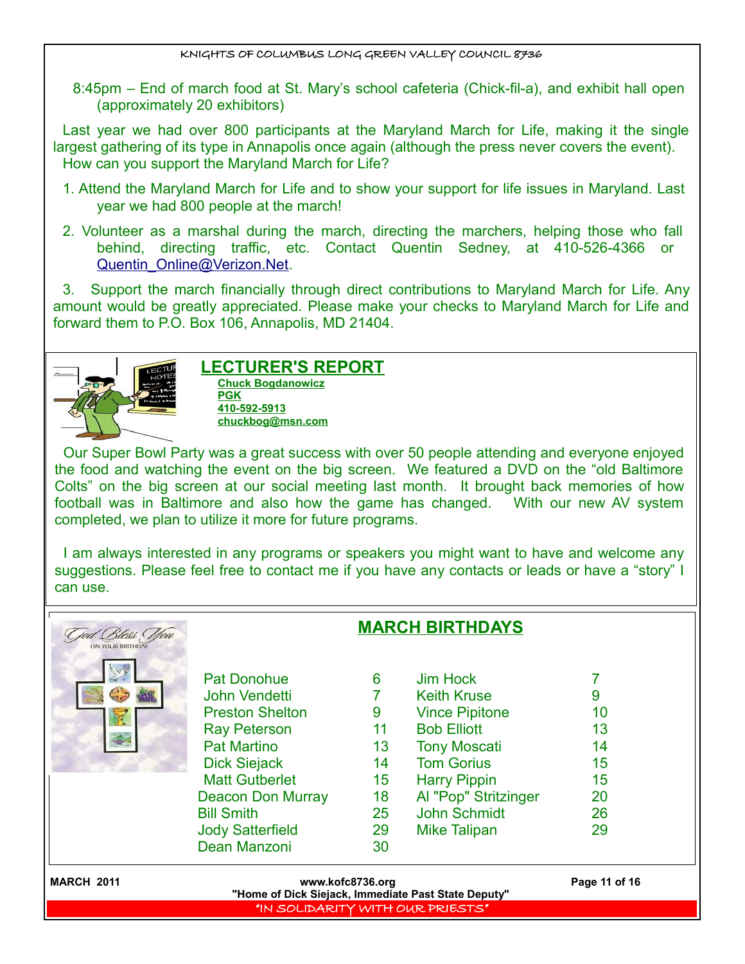8:45pm – End of march food at St. Mary's school cafeteria (Chick-fil-a), and exhibit hall open (approximately 20 exhibitors)

Last year we had over 800 participants at the Maryland March for Life, making it the single largest gathering of its type in Annapolis once again (although the press never covers the event). How can you support the Maryland March for Life?

- 1. Attend the Maryland March for Life and to show your support for life issues in Maryland. Last year we had 800 people at the march!
- 2. Volunteer as a marshal during the march, directing the marchers, helping those who fall behind, directing traffic, etc. Contact Quentin Sedney, at 410-526-4366 or [Quentin\\_Online@Verizon.Net.](mailto:Quentin_Online@Verizon.Net)

3. Support the march financially through direct contributions to Maryland March for Life. Any amount would be greatly appreciated. Please make your checks to Maryland March for Life and forward them to P.O. Box 106, Annapolis, MD 21404.



#### **LECTURER'S REPORT Chuck Bogdanowicz PGK 410-592-5913 chuckbog@msn.com**

Our Super Bowl Party was a great success with over 50 people attending and everyone enjoyed the food and watching the event on the big screen. We featured a DVD on the "old Baltimore Colts" on the big screen at our social meeting last month. It brought back memories of how football was in Baltimore and also how the game has changed. With our new AV system completed, we plan to utilize it more for future programs.

I am always interested in any programs or speakers you might want to have and welcome any suggestions. Please feel free to contact me if you have any contacts or leads or have a "story" I can use.

| Bless You         | <b>MARCH BIRTHDAYS</b>                              |                  |                                |               |
|-------------------|-----------------------------------------------------|------------------|--------------------------------|---------------|
|                   | <b>Pat Donohue</b><br>John Vendetti                 | 6                | Jim Hock<br><b>Keith Kruse</b> | 9             |
|                   | <b>Preston Shelton</b>                              | 9                | <b>Vince Pipitone</b>          | 10            |
|                   | <b>Ray Peterson</b>                                 | 11               | <b>Bob Elliott</b>             | 13            |
|                   | <b>Pat Martino</b>                                  | 13               | <b>Tony Moscati</b>            | 14            |
|                   | <b>Dick Siejack</b>                                 | 14               | <b>Tom Gorius</b>              | 15            |
|                   | <b>Matt Gutberlet</b>                               | 15 <sub>15</sub> | <b>Harry Pippin</b>            | 15            |
|                   | <b>Deacon Don Murray</b>                            | 18               | Al "Pop" Stritzinger           | 20            |
|                   | <b>Bill Smith</b>                                   | 25               | John Schmidt                   | 26            |
|                   | <b>Jody Satterfield</b>                             | 29               | <b>Mike Talipan</b>            | 29            |
|                   | Dean Manzoni                                        | 30               |                                |               |
| <b>MARCH 2011</b> | "Home of Dick Siejack, Immediate Past State Deputy" | www.kofc8736.org |                                | Page 11 of 16 |
|                   | "IN SOLIDARITY WITH OUR PRIESTS"                    |                  |                                |               |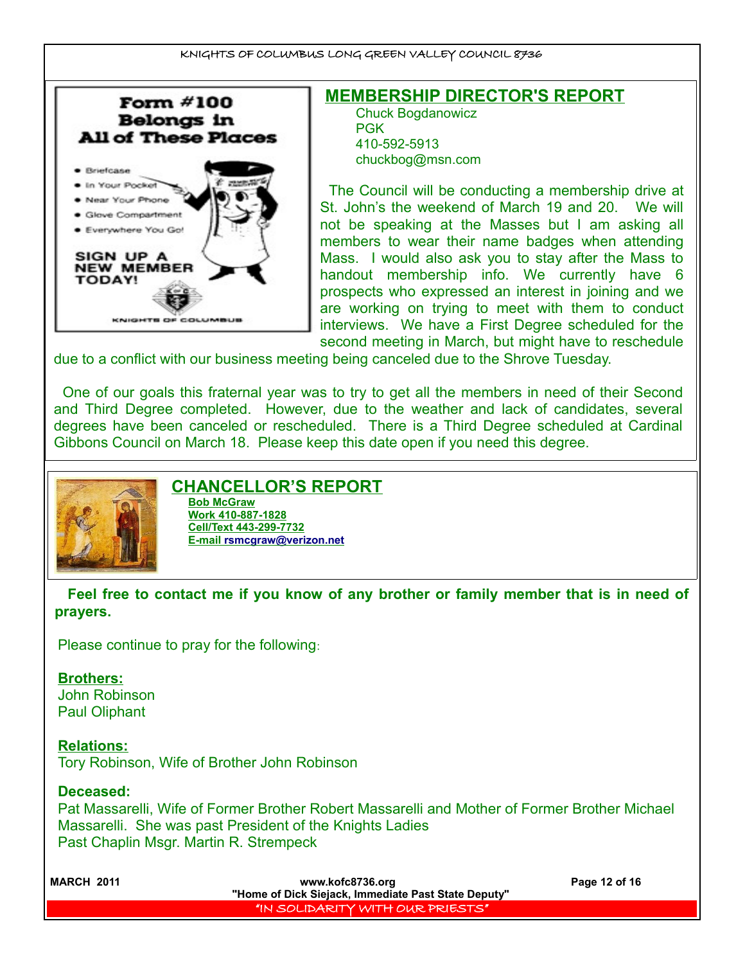

**MEMBERSHIP DIRECTOR'S REPORT** Chuck Bogdanowicz PGK 410-592-5913 chuckbog@msn.com

The Council will be conducting a membership drive at St. John's the weekend of March 19 and 20. We will not be speaking at the Masses but I am asking all members to wear their name badges when attending Mass. I would also ask you to stay after the Mass to handout membership info. We currently have 6 prospects who expressed an interest in joining and we are working on trying to meet with them to conduct interviews. We have a First Degree scheduled for the second meeting in March, but might have to reschedule

due to a conflict with our business meeting being canceled due to the Shrove Tuesday.

One of our goals this fraternal year was to try to get all the members in need of their Second and Third Degree completed. However, due to the weather and lack of candidates, several degrees have been canceled or rescheduled. There is a Third Degree scheduled at Cardinal Gibbons Council on March 18. Please keep this date open if you need this degree.



## **CHANCELLOR'S REPORT**

**Bob McGraw Work 410-887-1828 Cell/Text 443-299-7732 E-mail [rsmcgraw@verizon.net](mailto:rsmcgraw@verizon.net)**

**Feel free to contact me if you know of any brother or family member that is in need of prayers.** 

Please continue to pray for the following:

## **Brothers:**

John Robinson Paul Oliphant

**Relations:** Tory Robinson, Wife of Brother John Robinson

## **Deceased:**

Pat Massarelli, Wife of Former Brother Robert Massarelli and Mother of Former Brother Michael Massarelli. She was past President of the Knights Ladies Past Chaplin Msgr. Martin R. Strempeck

| <b>MARCH 2011</b> | www.kofc8736.org                                    | Page 12 of 16 |  |
|-------------------|-----------------------------------------------------|---------------|--|
|                   | "Home of Dick Siejack, Immediate Past State Deputy" |               |  |
|                   | I'IN SOLIDARITY WITH OUR P <u>RIESTS</u> ' I        |               |  |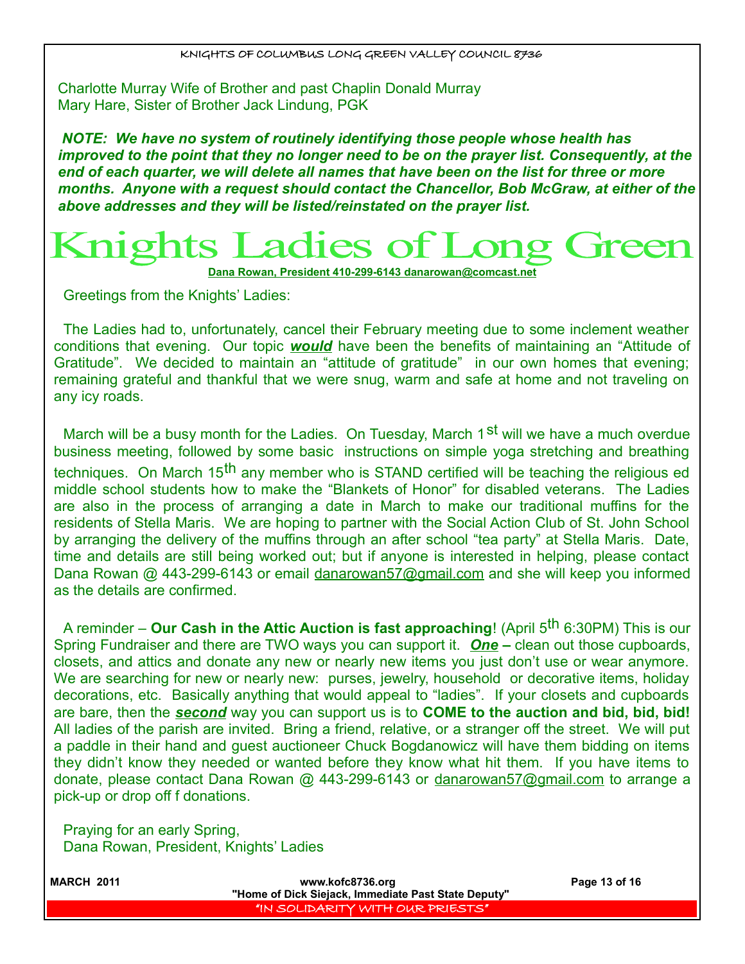Charlotte Murray Wife of Brother and past Chaplin Donald Murray Mary Hare, Sister of Brother Jack Lindung, PGK

*NOTE: We have no system of routinely identifying those people whose health has improved to the point that they no longer need to be on the prayer list. Consequently, at the end of each quarter, we will delete all names that have been on the list for three or more months. Anyone with a request should contact the Chancellor, Bob McGraw, at either of the above addresses and they will be listed/reinstated on the prayer list.* 

# Knights Ladies of

 **Dana Rowan, President 410-299-6143 [danarowan@comcast.net](mailto:danarowan@comcast.net)**

Greetings from the Knights' Ladies:

The Ladies had to, unfortunately, cancel their February meeting due to some inclement weather conditions that evening. Our topic *would* have been the benefits of maintaining an "Attitude of Gratitude". We decided to maintain an "attitude of gratitude" in our own homes that evening; remaining grateful and thankful that we were snug, warm and safe at home and not traveling on any icy roads.

March will be a busy month for the Ladies. On Tuesday, March  $1<sup>st</sup>$  will we have a much overdue business meeting, followed by some basic instructions on simple yoga stretching and breathing techniques. On March 15<sup>th</sup> any member who is STAND certified will be teaching the religious ed middle school students how to make the "Blankets of Honor" for disabled veterans. The Ladies are also in the process of arranging a date in March to make our traditional muffins for the residents of Stella Maris. We are hoping to partner with the Social Action Club of St. John School by arranging the delivery of the muffins through an after school "tea party" at Stella Maris. Date, time and details are still being worked out; but if anyone is interested in helping, please contact Dana Rowan @ 443-299-6143 or email danarowan57@gmail.com and she will keep you informed as the details are confirmed.

A reminder – **Our Cash in the Attic Auction is fast approaching**! (April 5th 6:30PM) This is our Spring Fundraiser and there are TWO ways you can support it. *One* **–** clean out those cupboards, closets, and attics and donate any new or nearly new items you just don't use or wear anymore. We are searching for new or nearly new: purses, jewelry, household or decorative items, holiday decorations, etc. Basically anything that would appeal to "ladies". If your closets and cupboards are bare, then the *second* way you can support us is to **COME to the auction and bid, bid, bid!** All ladies of the parish are invited. Bring a friend, relative, or a stranger off the street. We will put a paddle in their hand and guest auctioneer Chuck Bogdanowicz will have them bidding on items they didn't know they needed or wanted before they know what hit them. If you have items to donate, please contact Dana Rowan @ 443-299-6143 or danarowan57@gmail.com to arrange a pick-up or drop off f donations.

Praying for an early Spring, Dana Rowan, President, Knights' Ladies

| <b>MARCH 2011</b> | www.kofc8736.org<br>"Home of Dick Siejack, Immediate Past State Deputy" | Page 13 of 16 |
|-------------------|-------------------------------------------------------------------------|---------------|
|                   | "IN SOLIDARITY WITH OUR PRIESTS"                                        |               |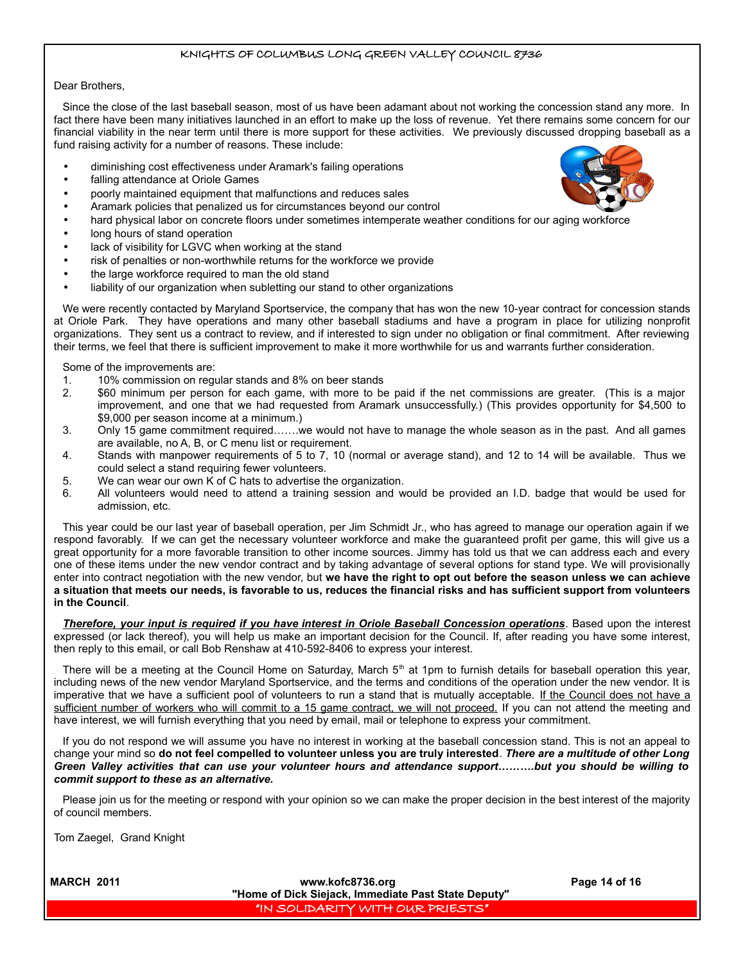#### Dear Brothers,

Since the close of the last baseball season, most of us have been adamant about not working the concession stand any more. In fact there have been many initiatives launched in an effort to make up the loss of revenue. Yet there remains some concern for our financial viability in the near term until there is more support for these activities. We previously discussed dropping baseball as a fund raising activity for a number of reasons. These include:

- diminishing cost effectiveness under Aramark's failing operations
- falling attendance at Oriole Games
- poorly maintained equipment that malfunctions and reduces sales
- Aramark policies that penalized us for circumstances beyond our control
- hard physical labor on concrete floors under sometimes intemperate weather conditions for our aging workforce
- long hours of stand operation
- lack of visibility for LGVC when working at the stand
- risk of penalties or non-worthwhile returns for the workforce we provide
- the large workforce required to man the old stand
- liability of our organization when subletting our stand to other organizations

We were recently contacted by Maryland Sportservice, the company that has won the new 10-year contract for concession stands at Oriole Park. They have operations and many other baseball stadiums and have a program in place for utilizing nonprofit organizations. They sent us a contract to review, and if interested to sign under no obligation or final commitment. After reviewing their terms, we feel that there is sufficient improvement to make it more worthwhile for us and warrants further consideration.

Some of the improvements are:

- 1. 10% commission on regular stands and 8% on beer stands
- 2. \$60 minimum per person for each game, with more to be paid if the net commissions are greater. (This is a major improvement, and one that we had requested from Aramark unsuccessfully.) (This provides opportunity for \$4,500 to \$9,000 per season income at a minimum.)
- 3. Only 15 game commitment required…….we would not have to manage the whole season as in the past. And all games are available, no A, B, or C menu list or requirement.
- 4. Stands with manpower requirements of 5 to 7, 10 (normal or average stand), and 12 to 14 will be available. Thus we could select a stand requiring fewer volunteers.
- 5. We can wear our own K of C hats to advertise the organization.
- 6. All volunteers would need to attend a training session and would be provided an I.D. badge that would be used for admission, etc.

This year could be our last year of baseball operation, per Jim Schmidt Jr., who has agreed to manage our operation again if we respond favorably. If we can get the necessary volunteer workforce and make the guaranteed profit per game, this will give us a great opportunity for a more favorable transition to other income sources. Jimmy has told us that we can address each and every one of these items under the new vendor contract and by taking advantage of several options for stand type. We will provisionally enter into contract negotiation with the new vendor, but **we have the right to opt out before the season unless we can achieve a situation that meets our needs, is favorable to us, reduces the financial risks and has sufficient support from volunteers in the Council**.

*Therefore, your input is required if you have interest in Oriole Baseball Concession operations*. Based upon the interest expressed (or lack thereof), you will help us make an important decision for the Council. If, after reading you have some interest, then reply to this email, or call Bob Renshaw at 410-592-8406 to express your interest.

There will be a meeting at the Council Home on Saturday, March  $5<sup>th</sup>$  at 1pm to furnish details for baseball operation this year, including news of the new vendor Maryland Sportservice, and the terms and conditions of the operation under the new vendor. It is imperative that we have a sufficient pool of volunteers to run a stand that is mutually acceptable. If the Council does not have a sufficient number of workers who will commit to a 15 game contract, we will not proceed. If you can not attend the meeting and have interest, we will furnish everything that you need by email, mail or telephone to express your commitment.

If you do not respond we will assume you have no interest in working at the baseball concession stand. This is not an appeal to change your mind so **do not feel compelled to volunteer unless you are truly interested**. *There are a multitude of other Long Green Valley activities that can use your volunteer hours and attendance support……….but you should be willing to commit support to these as an alternative.*

Please join us for the meeting or respond with your opinion so we can make the proper decision in the best interest of the majority of council members.

Tom Zaegel, Grand Knight



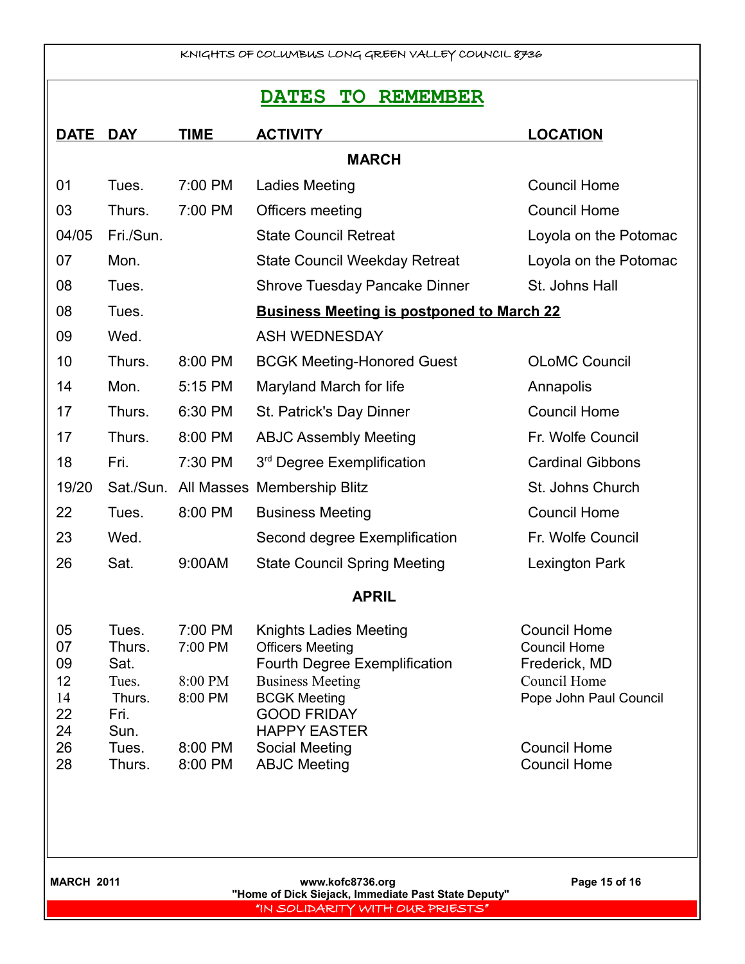## **DATES TO REMEMBER**

| <b>DATE</b>                            | <b>DAY</b>                                                 | <b>TIME</b>                              | <b>ACTIVITY</b>                                                                                                                                                                          | <b>LOCATION</b>                                                                                       |  |  |  |
|----------------------------------------|------------------------------------------------------------|------------------------------------------|------------------------------------------------------------------------------------------------------------------------------------------------------------------------------------------|-------------------------------------------------------------------------------------------------------|--|--|--|
| <b>MARCH</b>                           |                                                            |                                          |                                                                                                                                                                                          |                                                                                                       |  |  |  |
| 01                                     | Tues.                                                      | 7:00 PM                                  | Ladies Meeting                                                                                                                                                                           | <b>Council Home</b>                                                                                   |  |  |  |
| 03                                     | Thurs.                                                     | 7:00 PM                                  | Officers meeting                                                                                                                                                                         | <b>Council Home</b>                                                                                   |  |  |  |
| 04/05                                  | Fri./Sun.                                                  |                                          | <b>State Council Retreat</b>                                                                                                                                                             | Loyola on the Potomac                                                                                 |  |  |  |
| 07                                     | Mon.                                                       |                                          | <b>State Council Weekday Retreat</b>                                                                                                                                                     | Loyola on the Potomac                                                                                 |  |  |  |
| 08                                     | Tues.                                                      |                                          | <b>Shrove Tuesday Pancake Dinner</b>                                                                                                                                                     | St. Johns Hall                                                                                        |  |  |  |
| 08                                     | Tues.                                                      |                                          | <b>Business Meeting is postponed to March 22</b>                                                                                                                                         |                                                                                                       |  |  |  |
| 09                                     | Wed.                                                       |                                          | <b>ASH WEDNESDAY</b>                                                                                                                                                                     |                                                                                                       |  |  |  |
| 10                                     | Thurs.                                                     | 8:00 PM                                  | <b>BCGK Meeting-Honored Guest</b>                                                                                                                                                        | <b>OLoMC Council</b>                                                                                  |  |  |  |
| 14                                     | Mon.                                                       | 5:15 PM                                  | Maryland March for life                                                                                                                                                                  | Annapolis                                                                                             |  |  |  |
| 17                                     | Thurs.                                                     | 6:30 PM                                  | St. Patrick's Day Dinner                                                                                                                                                                 | <b>Council Home</b>                                                                                   |  |  |  |
| 17                                     | Thurs.                                                     | 8:00 PM                                  | <b>ABJC Assembly Meeting</b>                                                                                                                                                             | Fr. Wolfe Council                                                                                     |  |  |  |
| 18                                     | Fri.                                                       | 7:30 PM                                  | 3 <sup>rd</sup> Degree Exemplification                                                                                                                                                   | <b>Cardinal Gibbons</b>                                                                               |  |  |  |
| 19/20                                  | Sat./Sun.                                                  |                                          | All Masses Membership Blitz                                                                                                                                                              | St. Johns Church                                                                                      |  |  |  |
| 22                                     | Tues.                                                      | 8:00 PM                                  | <b>Business Meeting</b>                                                                                                                                                                  | <b>Council Home</b>                                                                                   |  |  |  |
| 23                                     | Wed.                                                       |                                          | Second degree Exemplification                                                                                                                                                            | Fr. Wolfe Council                                                                                     |  |  |  |
| 26                                     | Sat.                                                       | 9:00AM                                   | <b>State Council Spring Meeting</b>                                                                                                                                                      | Lexington Park                                                                                        |  |  |  |
| <b>APRIL</b>                           |                                                            |                                          |                                                                                                                                                                                          |                                                                                                       |  |  |  |
| 05<br>07<br>09<br>12<br>14<br>22<br>24 | Tues.<br>Thurs.<br>Sat.<br>Tues.<br>Thurs.<br>Fri.<br>Sun. | 7:00 PM<br>7:00 PM<br>8:00 PM<br>8:00 PM | <b>Knights Ladies Meeting</b><br><b>Officers Meeting</b><br>Fourth Degree Exemplification<br><b>Business Meeting</b><br><b>BCGK Meeting</b><br><b>GOOD FRIDAY</b><br><b>HAPPY EASTER</b> | <b>Council Home</b><br><b>Council Home</b><br>Frederick, MD<br>Council Home<br>Pope John Paul Council |  |  |  |
| 26<br>28                               | Tues.<br>Thurs.                                            | 8:00 PM<br>8:00 PM                       | Social Meeting<br><b>ABJC Meeting</b>                                                                                                                                                    | <b>Council Home</b><br><b>Council Home</b>                                                            |  |  |  |